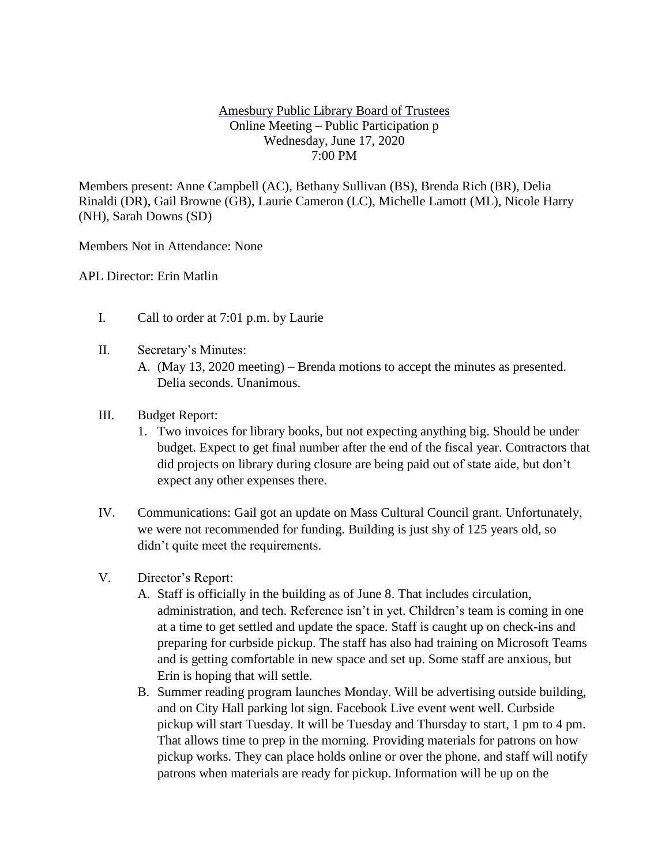## Amesbury Public Library Board of Trustees Online Meeting – Public Participation p Wednesday, June 17, 2020 7:00 PM

Members present: Anne Campbell (AC), Bethany Sullivan (BS), Brenda Rich (BR), Delia Rinaldi (DR), Gail Browne (GB), Laurie Cameron (LC), Michelle Lamott (ML), Nicole Harry (NH), Sarah Downs (SD)

Members Not in Attendance: None

APL Director: Erin Matlin

- I. Call to order at 7:01 p.m. by Laurie
- II. Secretary's Minutes:
	- A. (May 13, 2020 meeting) Brenda motions to accept the minutes as presented. Delia seconds. Unanimous.
- III. Budget Report:
	- 1. Two invoices for library books, but not expecting anything big. Should be under budget. Expect to get final number after the end of the fiscal year. Contractors that did projects on library during closure are being paid out of state aide, but don't expect any other expenses there.
- IV. Communications: Gail got an update on Mass Cultural Council grant. Unfortunately, we were not recommended for funding. Building is just shy of 125 years old, so didn't quite meet the requirements.
- V. Director's Report:
	- A. Staff is officially in the building as of June 8. That includes circulation, administration, and tech. Reference isn't in yet. Children's team is coming in one at a time to get settled and update the space. Staff is caught up on check-ins and preparing for curbside pickup. The staff has also had training on Microsoft Teams and is getting comfortable in new space and set up. Some staff are anxious, but Erin is hoping that will settle.
	- B. Summer reading program launches Monday. Will be advertising outside building, and on City Hall parking lot sign. Facebook Live event went well. Curbside pickup will start Tuesday. It will be Tuesday and Thursday to start, 1 pm to 4 pm. That allows time to prep in the morning. Providing materials for patrons on how pickup works. They can place holds online or over the phone, and staff will notify patrons when materials are ready for pickup. Information will be up on the